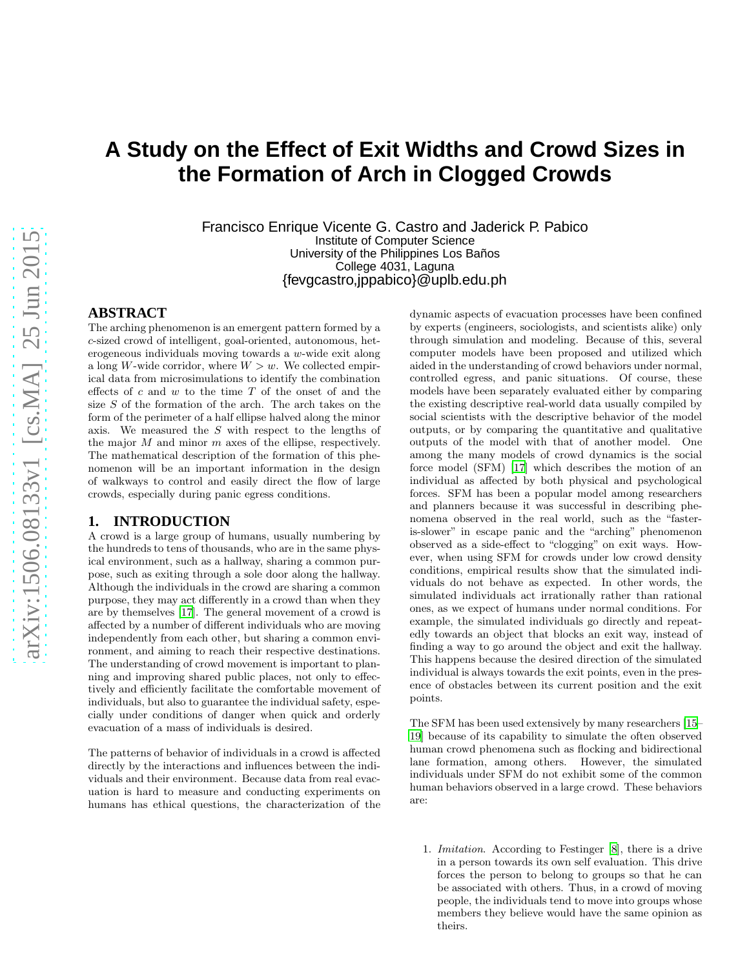# **A Study on the Effect of Exit Widths and Crowd Sizes in the Formation of Arch in Clogged Crowds**

Francisco Enrique Vicente G. Castro and Jaderick P. Pabico Institute of Computer Science University of the Philippines Los Baños College 4031, Laguna {fevgcastro,jppabico}@uplb.edu.ph

# **ABSTRACT**

The arching phenomenon is an emergent pattern formed by a c-sized crowd of intelligent, goal-oriented, autonomous, heterogeneous individuals moving towards a w-wide exit along a long W-wide corridor, where  $W > w$ . We collected empirical data from microsimulations to identify the combination effects of  $c$  and  $w$  to the time  $T$  of the onset of and the size  $S$  of the formation of the arch. The arch takes on the form of the perimeter of a half ellipse halved along the minor axis. We measured the  $S$  with respect to the lengths of the major  $M$  and minor  $m$  axes of the ellipse, respectively. The mathematical description of the formation of this phenomenon will be an important information in the design of walkways to control and easily direct the flow of large crowds, especially during panic egress conditions.

# <span id="page-0-0"></span>**1. INTRODUCTION**

A crowd is a large group of humans, usually numbering by the hundreds to tens of thousands, who are in the same physical environment, such as a hallway, sharing a common purpose, such as exiting through a sole door along the hallway. Although the individuals in the crowd are sharing a common purpose, they may act differently in a crowd than when they are by themselves [\[17](#page-7-0)]. The general movement of a crowd is affected by a number of different individuals who are moving independently from each other, but sharing a common environment, and aiming to reach their respective destinations. The understanding of crowd movement is important to planning and improving shared public places, not only to effectively and efficiently facilitate the comfortable movement of individuals, but also to guarantee the individual safety, especially under conditions of danger when quick and orderly evacuation of a mass of individuals is desired.

The patterns of behavior of individuals in a crowd is affected directly by the interactions and influences between the individuals and their environment. Because data from real evacuation is hard to measure and conducting experiments on humans has ethical questions, the characterization of the dynamic aspects of evacuation processes have been confined by experts (engineers, sociologists, and scientists alike) only through simulation and modeling. Because of this, several computer models have been proposed and utilized which aided in the understanding of crowd behaviors under normal, controlled egress, and panic situations. Of course, these models have been separately evaluated either by comparing the existing descriptive real-world data usually compiled by social scientists with the descriptive behavior of the model outputs, or by comparing the quantitative and qualitative outputs of the model with that of another model. One among the many models of crowd dynamics is the social force model (SFM) [\[17](#page-7-0)] which describes the motion of an individual as affected by both physical and psychological forces. SFM has been a popular model among researchers and planners because it was successful in describing phenomena observed in the real world, such as the "fasteris-slower" in escape panic and the "arching" phenomenon observed as a side-effect to "clogging" on exit ways. However, when using SFM for crowds under low crowd density conditions, empirical results show that the simulated individuals do not behave as expected. In other words, the simulated individuals act irrationally rather than rational ones, as we expect of humans under normal conditions. For example, the simulated individuals go directly and repeatedly towards an object that blocks an exit way, instead of finding a way to go around the object and exit the hallway. This happens because the desired direction of the simulated individual is always towards the exit points, even in the presence of obstacles between its current position and the exit points.

The SFM has been used extensively by many researchers [\[15](#page-7-1)– [19](#page-7-2)] because of its capability to simulate the often observed human crowd phenomena such as flocking and bidirectional lane formation, among others. However, the simulated individuals under SFM do not exhibit some of the common human behaviors observed in a large crowd. These behaviors are:

1. Imitation. According to Festinger [\[8](#page-7-3)], there is a drive in a person towards its own self evaluation. This drive forces the person to belong to groups so that he can be associated with others. Thus, in a crowd of moving people, the individuals tend to move into groups whose members they believe would have the same opinion as theirs.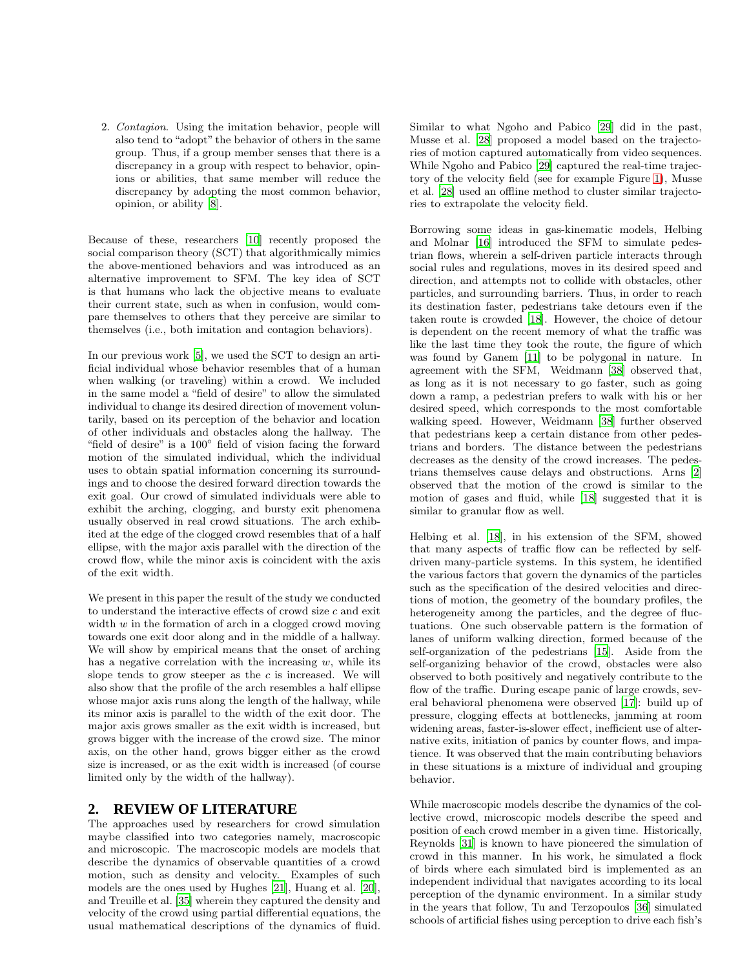2. Contagion. Using the imitation behavior, people will also tend to "adopt" the behavior of others in the same group. Thus, if a group member senses that there is a discrepancy in a group with respect to behavior, opinions or abilities, that same member will reduce the discrepancy by adopting the most common behavior, opinion, or ability [\[8\]](#page-7-3).

Because of these, researchers [\[10](#page-7-4)] recently proposed the social comparison theory (SCT) that algorithmically mimics the above-mentioned behaviors and was introduced as an alternative improvement to SFM. The key idea of SCT is that humans who lack the objective means to evaluate their current state, such as when in confusion, would compare themselves to others that they perceive are similar to themselves (i.e., both imitation and contagion behaviors).

In our previous work [\[5\]](#page-5-0), we used the SCT to design an artificial individual whose behavior resembles that of a human when walking (or traveling) within a crowd. We included in the same model a "field of desire" to allow the simulated individual to change its desired direction of movement voluntarily, based on its perception of the behavior and location of other individuals and obstacles along the hallway. The "field of desire" is a 100◦ field of vision facing the forward motion of the simulated individual, which the individual uses to obtain spatial information concerning its surroundings and to choose the desired forward direction towards the exit goal. Our crowd of simulated individuals were able to exhibit the arching, clogging, and bursty exit phenomena usually observed in real crowd situations. The arch exhibited at the edge of the clogged crowd resembles that of a half ellipse, with the major axis parallel with the direction of the crowd flow, while the minor axis is coincident with the axis of the exit width.

We present in this paper the result of the study we conducted to understand the interactive effects of crowd size  $c$  and exit width  $w$  in the formation of arch in a clogged crowd moving towards one exit door along and in the middle of a hallway. We will show by empirical means that the onset of arching has a negative correlation with the increasing  $w$ , while its slope tends to grow steeper as the  $c$  is increased. We will also show that the profile of the arch resembles a half ellipse whose major axis runs along the length of the hallway, while its minor axis is parallel to the width of the exit door. The major axis grows smaller as the exit width is increased, but grows bigger with the increase of the crowd size. The minor axis, on the other hand, grows bigger either as the crowd size is increased, or as the exit width is increased (of course limited only by the width of the hallway).

# **2. REVIEW OF LITERATURE**

The approaches used by researchers for crowd simulation maybe classified into two categories namely, macroscopic and microscopic. The macroscopic models are models that describe the dynamics of observable quantities of a crowd motion, such as density and velocity. Examples of such models are the ones used by Hughes [\[21](#page-7-5)], Huang et al. [\[20\]](#page-7-6), and Treuille et al. [\[35](#page-8-0)] wherein they captured the density and velocity of the crowd using partial differential equations, the usual mathematical descriptions of the dynamics of fluid.

Similar to what Ngoho and Pabico [\[29\]](#page-8-1) did in the past, Musse et al. [\[28](#page-8-2)] proposed a model based on the trajectories of motion captured automatically from video sequences. While Ngoho and Pabico [\[29\]](#page-8-1) captured the real-time trajectory of the velocity field (see for example Figure [1\)](#page-2-0), Musse et al. [\[28\]](#page-8-2) used an offline method to cluster similar trajectories to extrapolate the velocity field.

Borrowing some ideas in gas-kinematic models, Helbing and Molnar [\[16](#page-7-7)] introduced the SFM to simulate pedestrian flows, wherein a self-driven particle interacts through social rules and regulations, moves in its desired speed and direction, and attempts not to collide with obstacles, other particles, and surrounding barriers. Thus, in order to reach its destination faster, pedestrians take detours even if the taken route is crowded [\[18\]](#page-7-8). However, the choice of detour is dependent on the recent memory of what the traffic was like the last time they took the route, the figure of which was found by Ganem [\[11](#page-7-9)] to be polygonal in nature. In agreement with the SFM, Weidmann [\[38\]](#page-8-3) observed that, as long as it is not necessary to go faster, such as going down a ramp, a pedestrian prefers to walk with his or her desired speed, which corresponds to the most comfortable walking speed. However, Weidmann [\[38\]](#page-8-3) further observed that pedestrians keep a certain distance from other pedestrians and borders. The distance between the pedestrians decreases as the density of the crowd increases. The pedestrians themselves cause delays and obstructions. Arns [\[2\]](#page-5-1) observed that the motion of the crowd is similar to the motion of gases and fluid, while [\[18](#page-7-8)] suggested that it is similar to granular flow as well.

Helbing et al. [\[18\]](#page-7-8), in his extension of the SFM, showed that many aspects of traffic flow can be reflected by selfdriven many-particle systems. In this system, he identified the various factors that govern the dynamics of the particles such as the specification of the desired velocities and directions of motion, the geometry of the boundary profiles, the heterogeneity among the particles, and the degree of fluctuations. One such observable pattern is the formation of lanes of uniform walking direction, formed because of the self-organization of the pedestrians [\[15\]](#page-7-1). Aside from the self-organizing behavior of the crowd, obstacles were also observed to both positively and negatively contribute to the flow of the traffic. During escape panic of large crowds, several behavioral phenomena were observed [\[17](#page-7-0)]: build up of pressure, clogging effects at bottlenecks, jamming at room widening areas, faster-is-slower effect, inefficient use of alternative exits, initiation of panics by counter flows, and impatience. It was observed that the main contributing behaviors in these situations is a mixture of individual and grouping behavior.

While macroscopic models describe the dynamics of the collective crowd, microscopic models describe the speed and position of each crowd member in a given time. Historically, Reynolds [\[31\]](#page-8-4) is known to have pioneered the simulation of crowd in this manner. In his work, he simulated a flock of birds where each simulated bird is implemented as an independent individual that navigates according to its local perception of the dynamic environment. In a similar study in the years that follow, Tu and Terzopoulos [\[36\]](#page-8-5) simulated schools of artificial fishes using perception to drive each fish's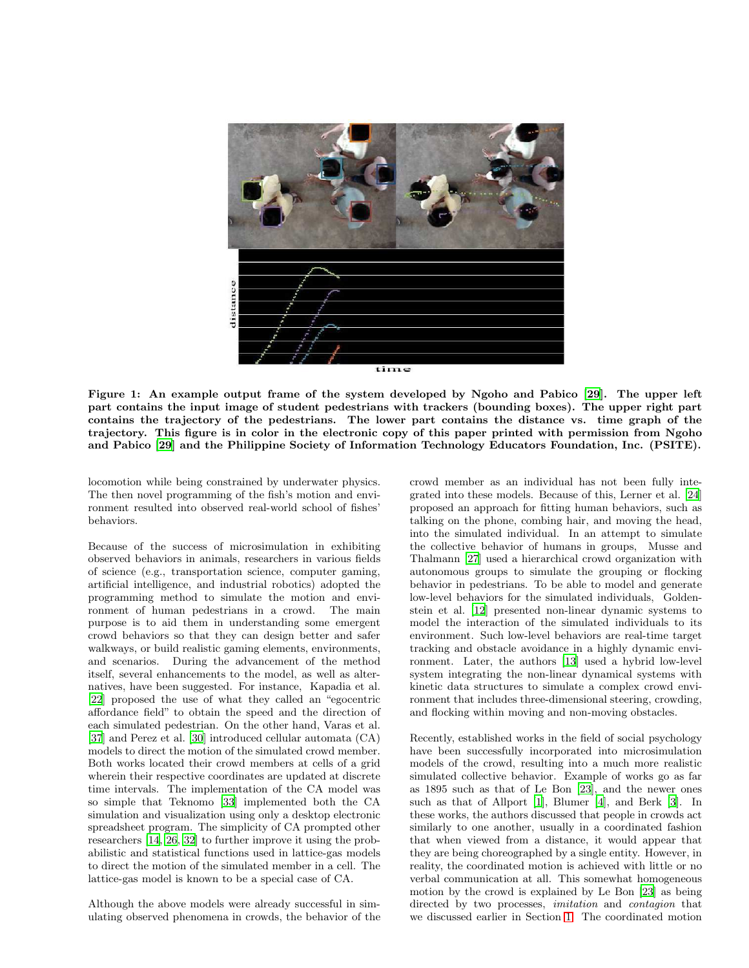

Figure 1: An example output frame of the system developed by Ngoho and Pabico [\[29\]](#page-8-1). The upper left part contains the input image of student pedestrians with trackers (bounding boxes). The upper right part contains the trajectory of the pedestrians. The lower part contains the distance vs. time graph of the trajectory. This figure is in color in the electronic copy of this paper printed with permission from Ngoho and Pabico [\[29](#page-8-1)] and the Philippine Society of Information Technology Educators Foundation, Inc. (PSITE).

<span id="page-2-0"></span>locomotion while being constrained by underwater physics. The then novel programming of the fish's motion and environment resulted into observed real-world school of fishes' behaviors.

Because of the success of microsimulation in exhibiting observed behaviors in animals, researchers in various fields of science (e.g., transportation science, computer gaming, artificial intelligence, and industrial robotics) adopted the programming method to simulate the motion and environment of human pedestrians in a crowd. The main purpose is to aid them in understanding some emergent crowd behaviors so that they can design better and safer walkways, or build realistic gaming elements, environments, and scenarios. During the advancement of the method itself, several enhancements to the model, as well as alternatives, have been suggested. For instance, Kapadia et al. [\[22\]](#page-7-10) proposed the use of what they called an "egocentric affordance field" to obtain the speed and the direction of each simulated pedestrian. On the other hand, Varas et al. [\[37\]](#page-8-6) and Perez et al. [\[30](#page-8-7)] introduced cellular automata (CA) models to direct the motion of the simulated crowd member. Both works located their crowd members at cells of a grid wherein their respective coordinates are updated at discrete time intervals. The implementation of the CA model was so simple that Teknomo [\[33\]](#page-8-8) implemented both the CA simulation and visualization using only a desktop electronic spreadsheet program. The simplicity of CA prompted other researchers [\[14](#page-7-11), [26,](#page-8-9) [32](#page-8-10)] to further improve it using the probabilistic and statistical functions used in lattice-gas models to direct the motion of the simulated member in a cell. The lattice-gas model is known to be a special case of CA.

Although the above models were already successful in simulating observed phenomena in crowds, the behavior of the crowd member as an individual has not been fully integrated into these models. Because of this, Lerner et al. [\[24](#page-7-12)] proposed an approach for fitting human behaviors, such as talking on the phone, combing hair, and moving the head, into the simulated individual. In an attempt to simulate the collective behavior of humans in groups, Musse and Thalmann [\[27](#page-8-11)] used a hierarchical crowd organization with autonomous groups to simulate the grouping or flocking behavior in pedestrians. To be able to model and generate low-level behaviors for the simulated individuals, Goldenstein et al. [\[12\]](#page-7-13) presented non-linear dynamic systems to model the interaction of the simulated individuals to its environment. Such low-level behaviors are real-time target tracking and obstacle avoidance in a highly dynamic environment. Later, the authors [\[13](#page-7-14)] used a hybrid low-level system integrating the non-linear dynamical systems with kinetic data structures to simulate a complex crowd environment that includes three-dimensional steering, crowding, and flocking within moving and non-moving obstacles.

Recently, established works in the field of social psychology have been successfully incorporated into microsimulation models of the crowd, resulting into a much more realistic simulated collective behavior. Example of works go as far as 1895 such as that of Le Bon [\[23](#page-7-15)], and the newer ones such as that of Allport [\[1](#page-5-2)], Blumer [\[4](#page-5-3)], and Berk [\[3\]](#page-5-4). In these works, the authors discussed that people in crowds act similarly to one another, usually in a coordinated fashion that when viewed from a distance, it would appear that they are being choreographed by a single entity. However, in reality, the coordinated motion is achieved with little or no verbal communication at all. This somewhat homogeneous motion by the crowd is explained by Le Bon [\[23](#page-7-15)] as being directed by two processes, *imitation* and *contagion* that we discussed earlier in Section [1.](#page-0-0) The coordinated motion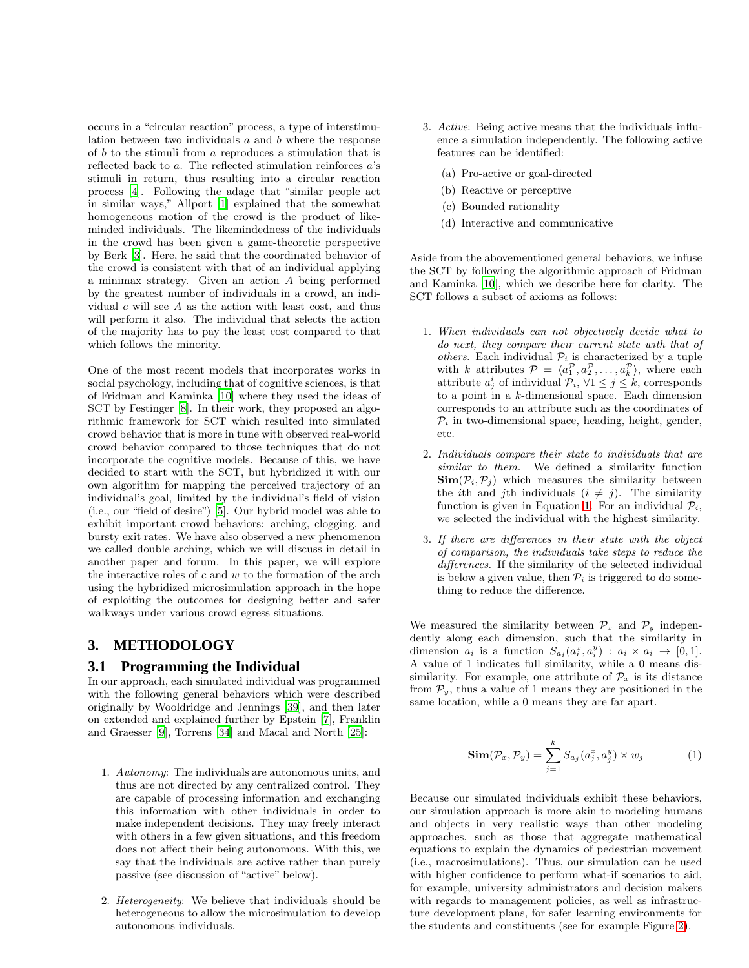occurs in a "circular reaction" process, a type of interstimulation between two individuals  $a$  and  $b$  where the response of  $b$  to the stimuli from  $a$  reproduces a stimulation that is reflected back to a. The reflected stimulation reinforces a's stimuli in return, thus resulting into a circular reaction process [\[4](#page-5-3)]. Following the adage that "similar people act in similar ways," Allport [\[1\]](#page-5-2) explained that the somewhat homogeneous motion of the crowd is the product of likeminded individuals. The likemindedness of the individuals in the crowd has been given a game-theoretic perspective by Berk [\[3](#page-5-4)]. Here, he said that the coordinated behavior of the crowd is consistent with that of an individual applying a minimax strategy. Given an action A being performed by the greatest number of individuals in a crowd, an individual  $c$  will see  $A$  as the action with least cost, and thus will perform it also. The individual that selects the action of the majority has to pay the least cost compared to that which follows the minority.

One of the most recent models that incorporates works in social psychology, including that of cognitive sciences, is that of Fridman and Kaminka [\[10](#page-7-4)] where they used the ideas of SCT by Festinger [\[8](#page-7-3)]. In their work, they proposed an algorithmic framework for SCT which resulted into simulated crowd behavior that is more in tune with observed real-world crowd behavior compared to those techniques that do not incorporate the cognitive models. Because of this, we have decided to start with the SCT, but hybridized it with our own algorithm for mapping the perceived trajectory of an individual's goal, limited by the individual's field of vision (i.e., our "field of desire") [\[5](#page-5-0)]. Our hybrid model was able to exhibit important crowd behaviors: arching, clogging, and bursty exit rates. We have also observed a new phenomenon we called double arching, which we will discuss in detail in another paper and forum. In this paper, we will explore the interactive roles of  $c$  and  $w$  to the formation of the arch using the hybridized microsimulation approach in the hope of exploiting the outcomes for designing better and safer walkways under various crowd egress situations.

# **3. METHODOLOGY**

### **3.1 Programming the Individual**

In our approach, each simulated individual was programmed with the following general behaviors which were described originally by Wooldridge and Jennings [\[39](#page-8-12)], and then later on extended and explained further by Epstein [\[7](#page-7-16)], Franklin and Graesser [\[9\]](#page-7-17), Torrens [\[34](#page-8-13)] and Macal and North [\[25](#page-8-14)]:

- 1. Autonomy: The individuals are autonomous units, and thus are not directed by any centralized control. They are capable of processing information and exchanging this information with other individuals in order to make independent decisions. They may freely interact with others in a few given situations, and this freedom does not affect their being autonomous. With this, we say that the individuals are active rather than purely passive (see discussion of "active" below).
- 2. Heterogeneity: We believe that individuals should be heterogeneous to allow the microsimulation to develop autonomous individuals.
- 3. Active: Being active means that the individuals influence a simulation independently. The following active features can be identified:
	- (a) Pro-active or goal-directed
	- (b) Reactive or perceptive
	- (c) Bounded rationality
	- (d) Interactive and communicative

Aside from the abovementioned general behaviors, we infuse the SCT by following the algorithmic approach of Fridman and Kaminka [\[10\]](#page-7-4), which we describe here for clarity. The SCT follows a subset of axioms as follows:

- 1. When individuals can not objectively decide what to do next, they compare their current state with that of others. Each individual  $P_i$  is characterized by a tuple with k attributes  $\mathcal{P} = \langle a_1^{\mathcal{P}}, a_2^{\mathcal{P}}, \ldots, a_k^{\mathcal{P}} \rangle$ , where each attribute  $a_j^i$  of individual  $\mathcal{P}_i$ ,  $\forall 1 \leq j \leq k$ , corresponds to a point in a  $k$ -dimensional space. Each dimension corresponds to an attribute such as the coordinates of  $P_i$  in two-dimensional space, heading, height, gender, etc.
- 2. Individuals compare their state to individuals that are similar to them. We defined a similarity function  $\text{Sim}(\mathcal{P}_i, \mathcal{P}_j)$  which measures the similarity between the ith and jth individuals  $(i \neq j)$ . The similarity function is given in Equation [1.](#page-3-0) For an individual  $P_i$ , we selected the individual with the highest similarity.
- 3. If there are differences in their state with the object of comparison, the individuals take steps to reduce the differences. If the similarity of the selected individual is below a given value, then  $\mathcal{P}_i$  is triggered to do something to reduce the difference.

We measured the similarity between  $\mathcal{P}_x$  and  $\mathcal{P}_y$  independently along each dimension, such that the similarity in dimension  $a_i$  is a function  $S_{a_i}(a_i^x, a_i^y) : a_i \times a_i \rightarrow [0, 1].$ A value of 1 indicates full similarity, while a 0 means dissimilarity. For example, one attribute of  $\mathcal{P}_x$  is its distance from  $\mathcal{P}_{y}$ , thus a value of 1 means they are positioned in the same location, while a 0 means they are far apart.

<span id="page-3-0"></span>
$$
\mathbf{Sim}(\mathcal{P}_x, \mathcal{P}_y) = \sum_{j=1}^k S_{a_j}(a_j^x, a_j^y) \times w_j \tag{1}
$$

Because our simulated individuals exhibit these behaviors, our simulation approach is more akin to modeling humans and objects in very realistic ways than other modeling approaches, such as those that aggregate mathematical equations to explain the dynamics of pedestrian movement (i.e., macrosimulations). Thus, our simulation can be used with higher confidence to perform what-if scenarios to aid, for example, university administrators and decision makers with regards to management policies, as well as infrastructure development plans, for safer learning environments for the students and constituents (see for example Figure [2\)](#page-4-0).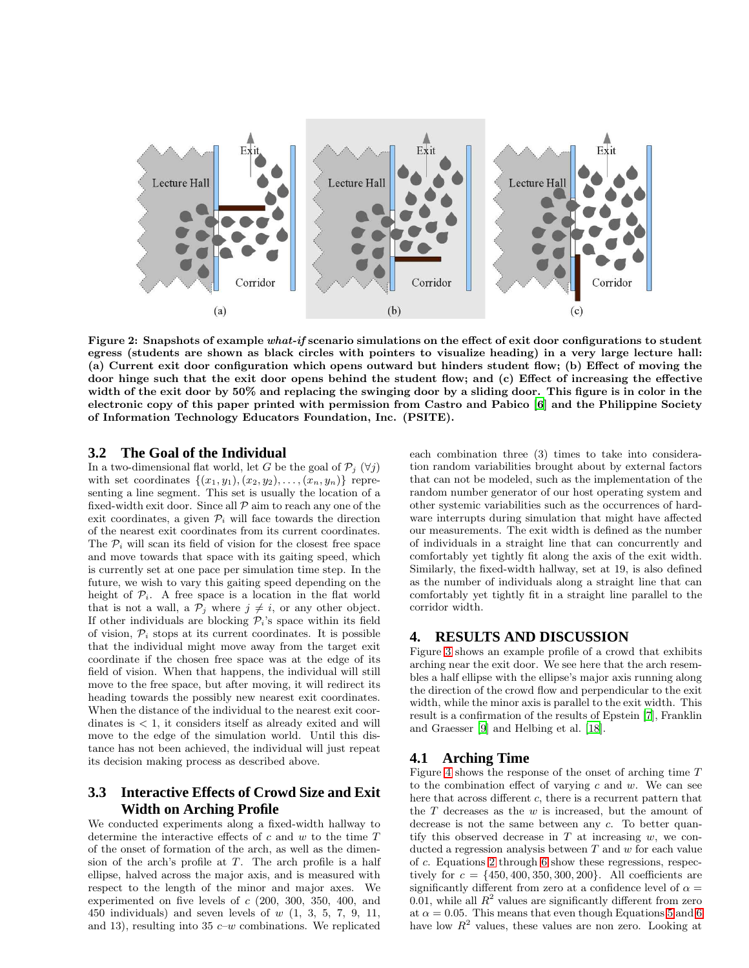

<span id="page-4-0"></span>Figure 2: Snapshots of example what-if scenario simulations on the effect of exit door configurations to student egress (students are shown as black circles with pointers to visualize heading) in a very large lecture hall: (a) Current exit door configuration which opens outward but hinders student flow; (b) Effect of moving the door hinge such that the exit door opens behind the student flow; and (c) Effect of increasing the effective width of the exit door by 50% and replacing the swinging door by a sliding door. This figure is in color in the electronic copy of this paper printed with permission from Castro and Pabico [\[6\]](#page-7-18) and the Philippine Society of Information Technology Educators Foundation, Inc. (PSITE).

### **3.2 The Goal of the Individual**

In a two-dimensional flat world, let G be the goal of  $\mathcal{P}_i$  ( $\forall i$ ) with set coordinates  $\{(x_1,y_1),(x_2,y_2),\ldots,(x_n,y_n)\}\$  representing a line segment. This set is usually the location of a fixed-width exit door. Since all  $P$  aim to reach any one of the exit coordinates, a given  $\mathcal{P}_i$  will face towards the direction of the nearest exit coordinates from its current coordinates. The  $P_i$  will scan its field of vision for the closest free space and move towards that space with its gaiting speed, which is currently set at one pace per simulation time step. In the future, we wish to vary this gaiting speed depending on the height of  $\mathcal{P}_i$ . A free space is a location in the flat world that is not a wall, a  $\mathcal{P}_j$  where  $j \neq i$ , or any other object. If other individuals are blocking  $P_i$ 's space within its field of vision,  $\mathcal{P}_i$  stops at its current coordinates. It is possible that the individual might move away from the target exit coordinate if the chosen free space was at the edge of its field of vision. When that happens, the individual will still move to the free space, but after moving, it will redirect its heading towards the possibly new nearest exit coordinates. When the distance of the individual to the nearest exit coordinates is  $\lt 1$ , it considers itself as already exited and will move to the edge of the simulation world. Until this distance has not been achieved, the individual will just repeat its decision making process as described above.

# **3.3 Interactive Effects of Crowd Size and Exit Width on Arching Profile**

We conducted experiments along a fixed-width hallway to determine the interactive effects of  $c$  and  $w$  to the time  $T$ of the onset of formation of the arch, as well as the dimension of the arch's profile at  $T$ . The arch profile is a half ellipse, halved across the major axis, and is measured with respect to the length of the minor and major axes. We experimented on five levels of c (200, 300, 350, 400, and 450 individuals) and seven levels of  $w(1, 3, 5, 7, 9, 11,$ and 13), resulting into 35  $c-w$  combinations. We replicated each combination three (3) times to take into consideration random variabilities brought about by external factors that can not be modeled, such as the implementation of the random number generator of our host operating system and other systemic variabilities such as the occurrences of hardware interrupts during simulation that might have affected our measurements. The exit width is defined as the number of individuals in a straight line that can concurrently and comfortably yet tightly fit along the axis of the exit width. Similarly, the fixed-width hallway, set at 19, is also defined as the number of individuals along a straight line that can comfortably yet tightly fit in a straight line parallel to the corridor width.

# **4. RESULTS AND DISCUSSION**

Figure [3](#page-5-5) shows an example profile of a crowd that exhibits arching near the exit door. We see here that the arch resembles a half ellipse with the ellipse's major axis running along the direction of the crowd flow and perpendicular to the exit width, while the minor axis is parallel to the exit width. This result is a confirmation of the results of Epstein [\[7\]](#page-7-16), Franklin and Graesser [\[9\]](#page-7-17) and Helbing et al. [\[18](#page-7-8)].

### **4.1 Arching Time**

Figure [4](#page-6-0) shows the response of the onset of arching time T to the combination effect of varying  $c$  and  $w$ . We can see here that across different  $c$ , there is a recurrent pattern that the  $T$  decreases as the  $w$  is increased, but the amount of decrease is not the same between any c. To better quantify this observed decrease in  $T$  at increasing  $w$ , we conducted a regression analysis between  $T$  and  $w$  for each value of c. Equations [2](#page-5-6) through [6](#page-5-6) show these regressions, respectively for  $c = \{450, 400, 350, 300, 200\}$ . All coefficients are significantly different from zero at a confidence level of  $\alpha =$ 0.01, while all  $R^2$  values are significantly different from zero at  $\alpha = 0.05$ . This means that even though Equations [5](#page-5-6) and [6](#page-5-6) have low  $R^2$  values, these values are non zero. Looking at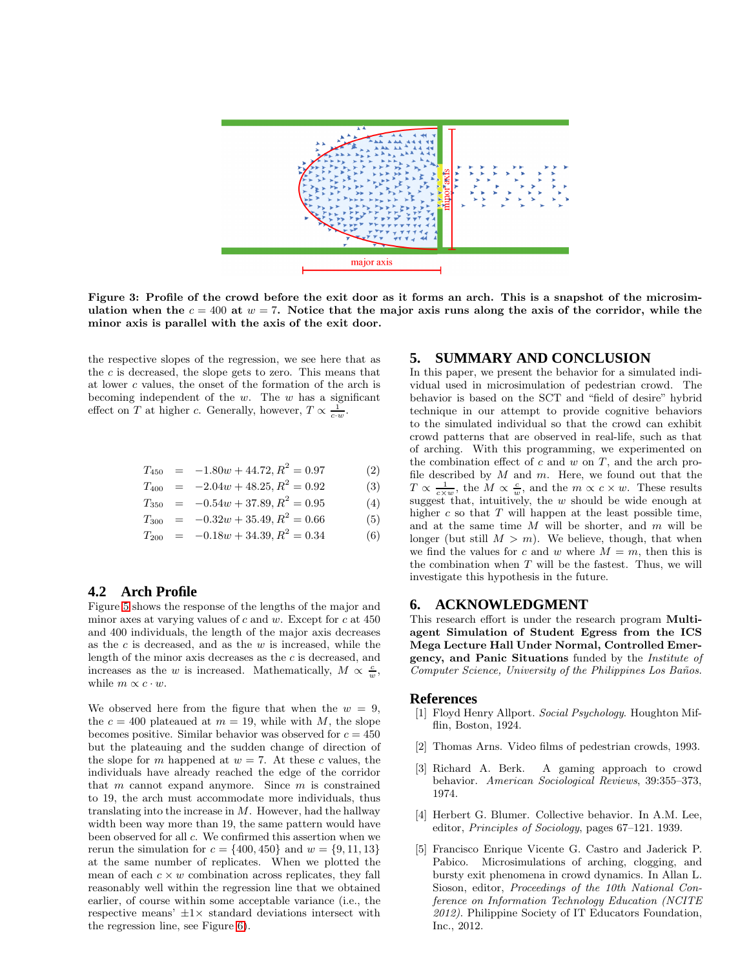

<span id="page-5-5"></span>Figure 3: Profile of the crowd before the exit door as it forms an arch. This is a snapshot of the microsimulation when the  $c = 400$  at  $w = 7$ . Notice that the major axis runs along the axis of the corridor, while the minor axis is parallel with the axis of the exit door.

the respective slopes of the regression, we see here that as the  $c$  is decreased, the slope gets to zero. This means that at lower c values, the onset of the formation of the arch is becoming independent of the  $w$ . The  $w$  has a significant effect on T at higher c. Generally, however,  $T \propto \frac{1}{c \cdot w}$ .

<span id="page-5-6"></span>
$$
T_{450} = -1.80w + 44.72, R^2 = 0.97 \tag{2}
$$

$$
T_{400} = -2.04w + 48.25, R^2 = 0.92 \tag{3}
$$

$$
T_{350} = -0.54w + 37.89, R^2 = 0.95 \tag{4}
$$

$$
T_{300} = -0.32w + 35.49, R^2 = 0.66
$$
 (5)

$$
T_{200} = -0.18w + 34.39, R^2 = 0.34
$$
 (6)

# **4.2 Arch Profile**

Figure [5](#page-6-1) shows the response of the lengths of the major and minor axes at varying values of  $c$  and  $w$ . Except for  $c$  at 450 and 400 individuals, the length of the major axis decreases as the  $c$  is decreased, and as the  $w$  is increased, while the length of the minor axis decreases as the c is decreased, and increases as the w is increased. Mathematically,  $M \propto \frac{c}{w}$ , while  $m \propto c \cdot w$ .

We observed here from the figure that when the  $w = 9$ , the  $c = 400$  plateaued at  $m = 19$ , while with M, the slope becomes positive. Similar behavior was observed for  $c = 450$ but the plateauing and the sudden change of direction of the slope for m happened at  $w = 7$ . At these c values, the individuals have already reached the edge of the corridor that  $m$  cannot expand anymore. Since  $m$  is constrained to 19, the arch must accommodate more individuals, thus translating into the increase in  $M$ . However, had the hallway width been way more than 19, the same pattern would have been observed for all c. We confirmed this assertion when we rerun the simulation for  $c = \{400, 450\}$  and  $w = \{9, 11, 13\}$ at the same number of replicates. When we plotted the mean of each  $c \times w$  combination across replicates, they fall reasonably well within the regression line that we obtained earlier, of course within some acceptable variance (i.e., the respective means'  $\pm 1 \times$  standard deviations intersect with the regression line, see Figure [6\)](#page-7-19).

### **5. SUMMARY AND CONCLUSION**

In this paper, we present the behavior for a simulated individual used in microsimulation of pedestrian crowd. The behavior is based on the SCT and "field of desire" hybrid technique in our attempt to provide cognitive behaviors to the simulated individual so that the crowd can exhibit crowd patterns that are observed in real-life, such as that of arching. With this programming, we experimented on the combination effect of  $c$  and  $w$  on  $T$ , and the arch profile described by  $M$  and  $m$ . Here, we found out that the  $T \propto \frac{1}{c \times w}$ , the  $M \propto \frac{c}{w}$ , and the  $m \propto c \times w$ . These results suggest that, intuitively, the w should be wide enough at higher  $c$  so that  $T$  will happen at the least possible time, and at the same time  $M$  will be shorter, and  $m$  will be longer (but still  $M > m$ ). We believe, though, that when we find the values for c and w where  $M = m$ , then this is the combination when  $T$  will be the fastest. Thus, we will investigate this hypothesis in the future.

### **6. ACKNOWLEDGMENT**

This research effort is under the research program Multiagent Simulation of Student Egress from the ICS Mega Lecture Hall Under Normal, Controlled Emergency, and Panic Situations funded by the Institute of Computer Science, University of the Philippines Los Baños.

#### **References**

- <span id="page-5-2"></span>[1] Floyd Henry Allport. Social Psychology. Houghton Mifflin, Boston, 1924.
- <span id="page-5-1"></span>[2] Thomas Arns. Video films of pedestrian crowds, 1993.
- <span id="page-5-4"></span>[3] Richard A. Berk. A gaming approach to crowd behavior. American Sociological Reviews, 39:355–373, 1974.
- <span id="page-5-3"></span>[4] Herbert G. Blumer. Collective behavior. In A.M. Lee, editor, Principles of Sociology, pages 67–121. 1939.
- <span id="page-5-0"></span>[5] Francisco Enrique Vicente G. Castro and Jaderick P. Pabico. Microsimulations of arching, clogging, and bursty exit phenomena in crowd dynamics. In Allan L. Sioson, editor, Proceedings of the 10th National Conference on Information Technology Education (NCITE 2012). Philippine Society of IT Educators Foundation, Inc., 2012.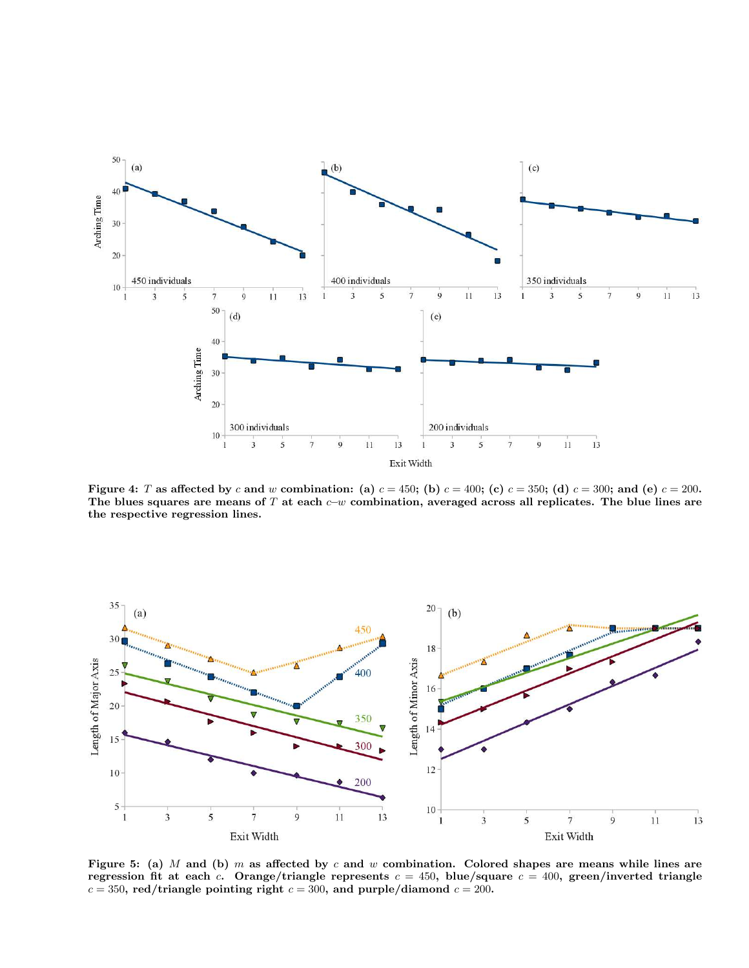

<span id="page-6-0"></span>Figure 4: T as affected by c and w combination: (a)  $c = 450$ ; (b)  $c = 400$ ; (c)  $c = 350$ ; (d)  $c = 300$ ; and (e)  $c = 200$ . The blues squares are means of T at each  $c-w$  combination, averaged across all replicates. The blue lines are the respective regression lines.



<span id="page-6-1"></span>Figure 5: (a) M and (b) m as affected by c and w combination. Colored shapes are means while lines are regression fit at each c. Orange/triangle represents  $c = 450$ , blue/square  $c = 400$ , green/inverted triangle  $c = 350$ , red/triangle pointing right  $c = 300$ , and purple/diamond  $c = 200$ .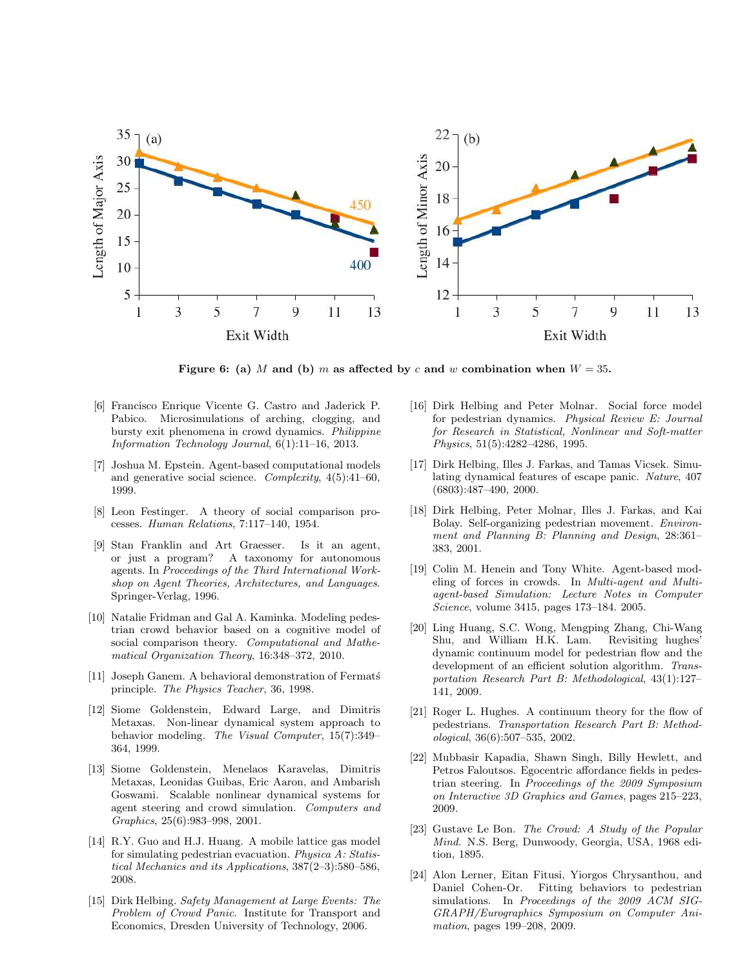

<span id="page-7-19"></span>Figure 6: (a) M and (b) m as affected by c and w combination when  $W = 35$ .

- <span id="page-7-18"></span>[6] Francisco Enrique Vicente G. Castro and Jaderick P. Pabico. Microsimulations of arching, clogging, and bursty exit phenomena in crowd dynamics. Philippine Information Technology Journal, 6(1):11–16, 2013.
- <span id="page-7-16"></span>[7] Joshua M. Epstein. Agent-based computational models and generative social science. Complexity, 4(5):41–60, 1999.
- <span id="page-7-3"></span>[8] Leon Festinger. A theory of social comparison processes. Human Relations, 7:117–140, 1954.
- <span id="page-7-17"></span>[9] Stan Franklin and Art Graesser. Is it an agent, or just a program? A taxonomy for autonomous agents. In Proceedings of the Third International Workshop on Agent Theories, Architectures, and Languages. Springer-Verlag, 1996.
- <span id="page-7-4"></span>[10] Natalie Fridman and Gal A. Kaminka. Modeling pedestrian crowd behavior based on a cognitive model of social comparison theory. Computational and Mathematical Organization Theory, 16:348–372, 2010.
- <span id="page-7-9"></span>[11] Joseph Ganem. A behavioral demonstration of Fermats principle. The Physics Teacher, 36, 1998.
- <span id="page-7-13"></span>[12] Siome Goldenstein, Edward Large, and Dimitris Metaxas. Non-linear dynamical system approach to behavior modeling. The Visual Computer, 15(7):349– 364, 1999.
- <span id="page-7-14"></span>[13] Siome Goldenstein, Menelaos Karavelas, Dimitris Metaxas, Leonidas Guibas, Eric Aaron, and Ambarish Goswami. Scalable nonlinear dynamical systems for agent steering and crowd simulation. Computers and Graphics, 25(6):983–998, 2001.
- <span id="page-7-11"></span>[14] R.Y. Guo and H.J. Huang. A mobile lattice gas model for simulating pedestrian evacuation. Physica A: Statistical Mechanics and its Applications, 387(2–3):580–586, 2008.
- <span id="page-7-1"></span>[15] Dirk Helbing. Safety Management at Large Events: The Problem of Crowd Panic. Institute for Transport and Economics, Dresden University of Technology, 2006.
- <span id="page-7-7"></span>[16] Dirk Helbing and Peter Molnar. Social force model for pedestrian dynamics. Physical Review E: Journal for Research in Statistical, Nonlinear and Soft-matter Physics, 51(5):4282–4286, 1995.
- <span id="page-7-0"></span>[17] Dirk Helbing, Illes J. Farkas, and Tamas Vicsek. Simulating dynamical features of escape panic. Nature, 407 (6803):487–490, 2000.
- <span id="page-7-8"></span>[18] Dirk Helbing, Peter Molnar, Illes J. Farkas, and Kai Bolay. Self-organizing pedestrian movement. Environment and Planning B: Planning and Design, 28:361-383, 2001.
- <span id="page-7-2"></span>[19] Colin M. Henein and Tony White. Agent-based modeling of forces in crowds. In Multi-agent and Multiagent-based Simulation: Lecture Notes in Computer Science, volume 3415, pages 173–184. 2005.
- <span id="page-7-6"></span>[20] Ling Huang, S.C. Wong, Mengping Zhang, Chi-Wang Shu, and William H.K. Lam. Revisiting hughes' dynamic continuum model for pedestrian flow and the development of an efficient solution algorithm. Transportation Research Part B: Methodological, 43(1):127– 141, 2009.
- <span id="page-7-5"></span>[21] Roger L. Hughes. A continuum theory for the flow of pedestrians. Transportation Research Part B: Methodological, 36(6):507–535, 2002.
- <span id="page-7-10"></span>[22] Mubbasir Kapadia, Shawn Singh, Billy Hewlett, and Petros Faloutsos. Egocentric affordance fields in pedestrian steering. In Proceedings of the 2009 Symposium on Interactive 3D Graphics and Games, pages 215–223, 2009.
- <span id="page-7-15"></span>[23] Gustave Le Bon. The Crowd: A Study of the Popular Mind. N.S. Berg, Dunwoody, Georgia, USA, 1968 edition, 1895.
- <span id="page-7-12"></span>[24] Alon Lerner, Eitan Fitusi, Yiorgos Chrysanthou, and Daniel Cohen-Or. Fitting behaviors to pedestrian simulations. In Proceedings of the 2009 ACM SIG-GRAPH/Eurographics Symposium on Computer Animation, pages 199–208, 2009.